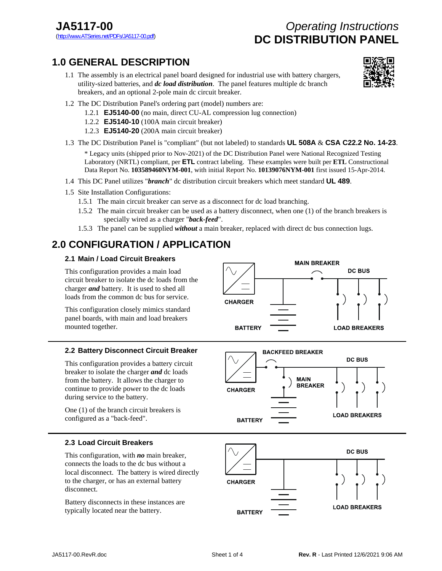# **JA5117-00** *Operating Instructions* DC DISTRIBUTION PANEL

## **1.0 GENERAL DESCRIPTION**

1.1 The assembly is an electrical panel board designed for industrial use with battery chargers, utility-sized batteries, and *dc load distribution*. The panel features multiple dc branch breakers, and an optional 2-pole main dc circuit breaker.



- 1.2 The DC Distribution Panel's ordering part (model) numbers are:
	- 1.2.1 **EJ5140-00** (no main, direct CU-AL compression lug connection)
	- 1.2.2 **EJ5140-10** (100A main circuit breaker)
	- 1.2.3 **EJ5140-20** (200A main circuit breaker)
- 1.3 The DC Distribution Panel is "compliant" (but not labeled) to standards **UL 508A** & **CSA C22.2 No. 14-23**.

 \* Legacy units (shipped prior to Nov-2021) of the DC Distribution Panel were National Recognized Testing Laboratory (NRTL) compliant, per **ETL** contract labeling. These examples were built per **ETL** Constructional Data Report No. **103589460NYM-001**, with initial Report No. **10139076NYM-001** first issued 15-Apr-2014.

- 1.4 This DC Panel utilizes "*branch*" dc distribution circuit breakers which meet standard **UL 489**.
- 1.5 Site Installation Configurations:
	- 1.5.1 The main circuit breaker can serve as a disconnect for dc load branching.
	- 1.5.2 The main circuit breaker can be used as a battery disconnect, when one (1) of the branch breakers is specially wired as a charger "*back-feed*".
	- 1.5.3 The panel can be supplied *without* a main breaker, replaced with direct dc bus connection lugs.

## **2.0 CONFIGURATION / APPLICATION**

### **2.1 Main / Load Circuit Breakers**

This configuration provides a main load circuit breaker to isolate the dc loads from the charger *and* battery. It is used to shed all loads from the common dc bus for service.

This configuration closely mimics standard panel boards, with main and load breakers mounted together.



## **2.2 Battery Disconnect Circuit Breaker**

This configuration provides a battery circuit breaker to isolate the charger *and* dc loads from the battery. It allows the charger to continue to provide power to the dc loads during service to the battery.

One (1) of the branch circuit breakers is configured as a "back-feed".



## **2.3 Load Circuit Breakers**

This configuration, with *no* main breaker, connects the loads to the dc bus without a local disconnect. The battery is wired directly to the charger, or has an external battery disconnect.

Battery disconnects in these instances are typically located near the battery.

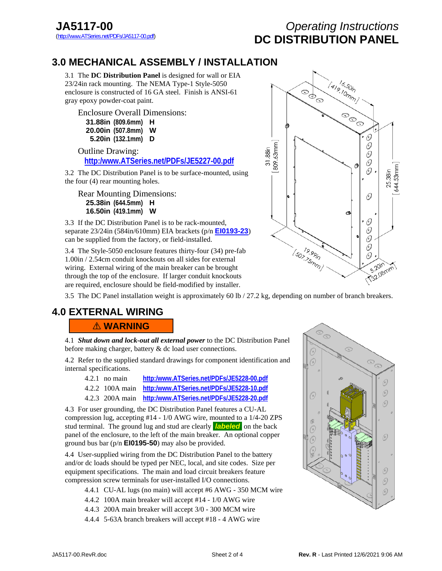# **JA5117-00** *Operating Instructions* **DC DISTRIBUTION PANEL**

## **3.0 MECHANICAL ASSEMBLY / INSTALLA[TION](http:/www.ATSeries.net/PDFs/JE5227-00.pdf)**

3.1 The **DC Distribution Panel** is designed for wall or EIA 23/24in rack mounting. The NEMA Type-1 Style-5050 enclosure is constructed of 16 GA steel. Finish is ANSI-61 gray epoxy powder-coat paint.

Enclosure Overall Dimensions:

| 31.88in (809.6mm) | н |
|-------------------|---|
| 20.00in (507.8mm) | w |
| 5.20in (132.1mm)  | D |

 Outline Drawing: **[http:/www.ATSeries.net/PDFs/JE5227-00.pdf](http://www.atseries.net/PDFs/JE5227-00.pdf)**

3.2 The DC Distribution Panel is to be surface-mounted, using the four (4) rear mounting holes.

Rear Mounting Dimensions: **25.38in (644.5mm) H 16.50in (419.1mm) W** 

3.3 If the DC Distribution Panel is to be rack-mounted, separate 23/24in (584in/610mm) EIA brackets (p/n **[EI0193-23](http://www.atseries.net/PDFs/JE5227-23.pdf)**) can be supplied from the factory, or field-installed.

3.4 The Style-5050 enclosure features thirty-four (34) pre-fab 1.00in / 2.54cm conduit knockouts on all sides for external wiring. External wiring of the main breaker can be brought through the top of the enclosure. If larger conduit knockouts are required, enclosure should be field-modified by installer.



3.5 The DC Panel installation weight is approximately 60 lb / 27.2 kg, depending on number of branch breakers.

## **4.0 EXTERNAL WIRING**

! **WARNING** 

4.1 *Shut down and lock-out all external power* to the DC Distribution Panel before making charger, battery & dc load user connections.

4.2 Refer to the supplied standard drawings for component identification and internal specifications.

- 4.2.1 no main **[http:/www.ATSeries.net/PDFs/JE5228-00.pdf](http://www.atseries.net/PDFs/JE5228-00.pdf)**
- 4.2.2 100A main **[http:/www.ATSeries.net/PDFs/JE5228-10.pdf](http://www.atseries.net/PDFs/JE5228-10.pdf)**
- 4.2.3 200A main **[http:/www.ATSeries.net/PDFs/JE5228-20.pdf](http://www.atseries.net/PDFs/JE5228-20.pdf)**

4.3 For user grounding, the DC Distribution Panel features a CU-AL compression lug, accepting #14 - 1/0 AWG wire, mounted to a 1/4-20 ZPS stud terminal. The ground lug and stud are clearly **labeled** on the back panel of the enclosure, to the left of the main breaker. An optional copper ground bus bar (p/n **EI0195-50**) may also be provided.

4.4 User-supplied wiring from the DC Distribution Panel to the battery and/or dc loads should be typed per NEC, local, and site codes. Size per equipment specifications. The main and load circuit breakers feature compression screw terminals for user-installed I/O connections.

- 4.4.1 CU-AL lugs (no main) will accept #6 AWG 350 MCM wire
- 4.4.2 100A main breaker will accept #14 1/0 AWG wire
- 4.4.3 200A main breaker will accept 3/0 300 MCM wire
- 4.4.4 5-63A branch breakers will accept #18 4 AWG wire

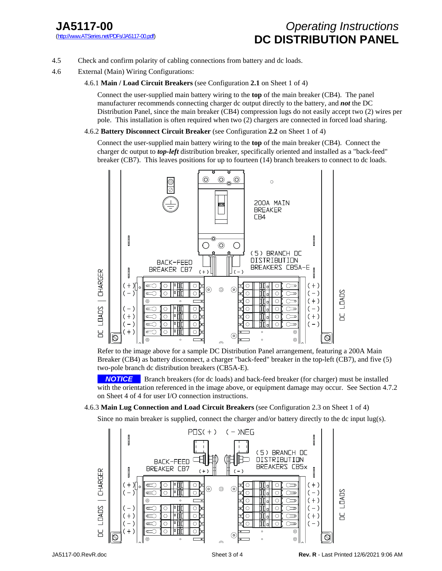# **JA5117-00** *Operating Instructions* DC DISTRIBUTION PANEL

- 4.5 Check and confirm polarity of cabling connections from battery and dc loads.
- 4.6 External (Main) Wiring Configurations:

## 4.6.1 **Main / Load Circuit Breakers** (see Configuration **2.1** on Sheet 1 of 4)

Connect the user-supplied main battery wiring to the **top** of the main breaker (CB4). The panel manufacturer recommends connecting charger dc output directly to the battery, and *not* the DC Distribution Panel, since the main breaker (CB4) compression lugs do not easily accept two (2) wires per pole. This installation is often required when two (2) chargers are connected in forced load sharing.

4.6.2 **Battery Disconnect Circuit Breaker** (see Configuration **2.2** on Sheet 1 of 4)

Connect the user-supplied main battery wiring to the **top** of the main breaker (CB4). Connect the charger dc output to *top-left* distribution breaker, specifically oriented and installed as a "back-feed" breaker (CB7). This leaves positions for up to fourteen (14) branch breakers to connect to dc loads.



Refer to the image above for a sample DC Distribution Panel arrangement, featuring a 200A Main Breaker (CB4) as battery disconnect, a charger "back-feed" breaker in the top-left (CB7), and five (5) two-pole branch dc distribution breakers (CB5A-E).

**NOTICE** Branch breakers (for dc loads) and back-feed breaker (for charger) must be installed with the orientation referenced in the image above, or equipment damage may occur. See Section 4.7.2 on Sheet 4 of 4 for user I/O connection instructions.

### 4.6.3 **Main Lug Connection and Load Circuit Breakers** (see Configuration 2.3 on Sheet 1 of 4)

Since no main breaker is supplied, connect the charger and/or battery directly to the dc input lug(s).